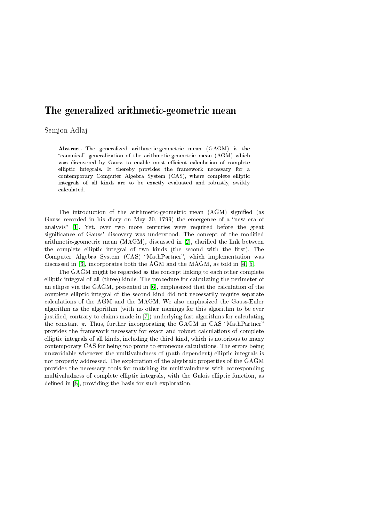## The generalized arithmetic-geometric mean

## Semjon Adlaj

Abstract. The generalized arithmetic-geometric mean (GAGM) is the "canonical" generalization of the arithmetic-geometric mean  $(AGM)$  which was discovered by Gauss to enable most efficient calculation of complete elliptic integrals. It thereby provides the framework necessary for a contemporary Computer Algebra System (CAS), where complete elliptic integrals of all kinds are to be exactly evaluated and robustly, swiftly calculated.

The introduction of the arithmetic-geometric mean (AGM) signified (as Gauss recorded in his diary on May 30, 1799) the emergence of a "new era of analysis" [\[1\]](#page-1-0). Yet, over two more centuries were required before the great significance of Gauss' discovery was understood. The concept of the modified arithmetic-geometric mean  $(MAGM)$ , discussed in [\[2\]](#page-1-1), clarified the link between the complete elliptic integral of two kinds (the second with the first). The Computer Algebra System (CAS) "MathPartner", which implementation was discussed in [\[3\]](#page-1-2), incorporates both the AGM and the MAGM, as told in [\[4,](#page-1-3) [5\]](#page-1-4).

The GAGM might be regarded as the concept linking to each other complete elliptic integral of all (three) kinds. The procedure for calculating the perimeter of an ellipse via the GAGM, presented in [\[6\]](#page-1-5), emphasized that the calculation of the complete elliptic integral of the second kind did not necessarily require separate calculations of the AGM and the MAGM. We also emphasized the Gauss-Euler algorithm as the algorithm (with no other namings for this algorithm to be ever justified, contrary to claims made in [\[7\]](#page-1-6)) underlying fast algorithms for calculating the constant  $\pi$ . Thus, further incorporating the GAGM in CAS "MathPartner" provides the framework necessary for exact and robust calculations of complete elliptic integrals of all kinds, including the third kind, which is notorious to many contemporary CAS for being too prone to erroneous calculations. The errors being unavoidable whenever the multivaludness of (path-dependent) elliptic integrals is not properly addressed. The exploration of the algebraic properties of the GAGM provides the necessary tools for matching its multivaludness with corresponding multivaludness of complete elliptic integrals, with the Galois elliptic function, as defined in  $[8]$ , providing the basis for such exploration.